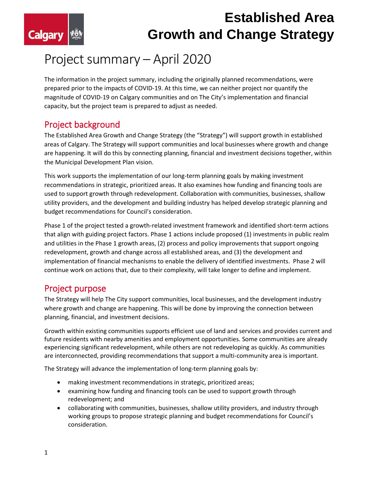

# **Established Area Growth and Change Strategy**

# Project summary – April 2020

The information in the project summary, including the originally planned recommendations, were prepared prior to the impacts of COVID-19. At this time, we can neither project nor quantify the magnitude of COVID-19 on Calgary communities and on The City's implementation and financial capacity, but the project team is prepared to adjust as needed.

### Project background

The Established Area Growth and Change Strategy (the "Strategy") will support growth in established areas of Calgary. The Strategy will support communities and local businesses where growth and change are happening. It will do this by connecting planning, financial and investment decisions together, within the Municipal Development Plan vision.

This work supports the implementation of our long-term planning goals by making investment recommendations in strategic, prioritized areas. It also examines how funding and financing tools are used to support growth through redevelopment. Collaboration with communities, businesses, shallow utility providers, and the development and building industry has helped develop strategic planning and budget recommendations for Council's consideration.

Phase 1 of the project tested a growth-related investment framework and identified short-term actions that align with guiding project factors. Phase 1 actions include proposed (1) investments in public realm and utilities in the Phase 1 growth areas, (2) process and policy improvements that support ongoing redevelopment, growth and change across all established areas, and (3) the development and implementation of financial mechanisms to enable the delivery of identified investments. Phase 2 will continue work on actions that, due to their complexity, will take longer to define and implement.

### Project purpose

The Strategy will help The City support communities, local businesses, and the development industry where growth and change are happening. This will be done by improving the connection between planning, financial, and investment decisions.

Growth within existing communities supports efficient use of land and services and provides current and future residents with nearby amenities and employment opportunities. Some communities are already experiencing significant redevelopment, while others are not redeveloping as quickly. As communities are interconnected, providing recommendations that support a multi-community area is important.

The Strategy will advance the implementation of long-term planning goals by:

- making investment recommendations in strategic, prioritized areas;
- examining how funding and financing tools can be used to support growth through redevelopment; and
- collaborating with communities, businesses, shallow utility providers, and industry through working groups to propose strategic planning and budget recommendations for Council's consideration.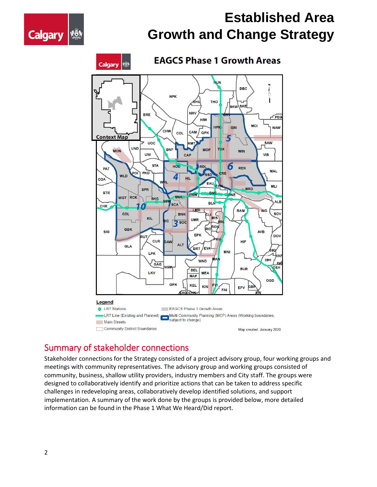



## Summary of stakeholder connections

Stakeholder connections for the Strategy consisted of a project advisory group, four working groups and meetings with community representatives. The advisory group and working groups consisted of community, business, shallow utility providers, industry members and City staff. The groups were designed to collaboratively identify and prioritize actions that can be taken to address specific challenges in redeveloping areas, collaboratively develop identified solutions, and support implementation. A summary of the work done by the groups is provided below, more detailed information can be found in the Phase 1 What We Heard/Did report.

**Calgary**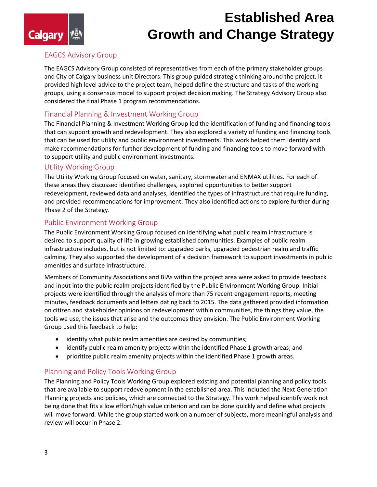# **Established Area Growth and Change Strategy**

#### EAGCS Advisory Group

**Calgary** 

The EAGCS Advisory Group consisted of representatives from each of the primary stakeholder groups and City of Calgary business unit Directors. This group guided strategic thinking around the project. It provided high level advice to the project team, helped define the structure and tasks of the working groups, using a consensus model to support project decision making. The Strategy Advisory Group also considered the final Phase 1 program recommendations.

#### Financial Planning & Investment Working Group

The Financial Planning & Investment Working Group led the identification of funding and financing tools that can support growth and redevelopment. They also explored a variety of funding and financing tools that can be used for utility and public environment investments. This work helped them identify and make recommendations for further development of funding and financing tools to move forward with to support utility and public environment investments.

#### Utility Working Group

The Utility Working Group focused on water, sanitary, stormwater and ENMAX utilities. For each of these areas they discussed identified challenges, explored opportunities to better support redevelopment, reviewed data and analyses, identified the types of infrastructure that require funding, and provided recommendations for improvement. They also identified actions to explore further during Phase 2 of the Strategy.

#### Public Environment Working Group

The Public Environment Working Group focused on identifying what public realm infrastructure is desired to support quality of life in growing established communities. Examples of public realm infrastructure includes, but is not limited to: upgraded parks, upgraded pedestrian realm and traffic calming. They also supported the development of a decision framework to support investments in public amenities and surface infrastructure.

Members of Community Associations and BIAs within the project area were asked to provide feedback and input into the public realm projects identified by the Public Environment Working Group. Initial projects were identified through the analysis of more than 75 recent engagement reports, meeting minutes, feedback documents and letters dating back to 2015. The data gathered provided information on citizen and stakeholder opinions on redevelopment within communities, the things they value, the tools we use, the issues that arise and the outcomes they envision. The Public Environment Working Group used this feedback to help:

- identify what public realm amenities are desired by communities;
- identify public realm amenity projects within the identified Phase 1 growth areas; and
- prioritize public realm amenity projects within the identified Phase 1 growth areas.

#### Planning and Policy Tools Working Group

The Planning and Policy Tools Working Group explored existing and potential planning and policy tools that are available to support redevelopment in the established area. This included the Next Generation Planning projects and policies, which are connected to the Strategy. This work helped identify work not being done that fits a low effort/high value criterion and can be done quickly and define what projects will move forward. While the group started work on a number of subjects, more meaningful analysis and review will occur in Phase 2.